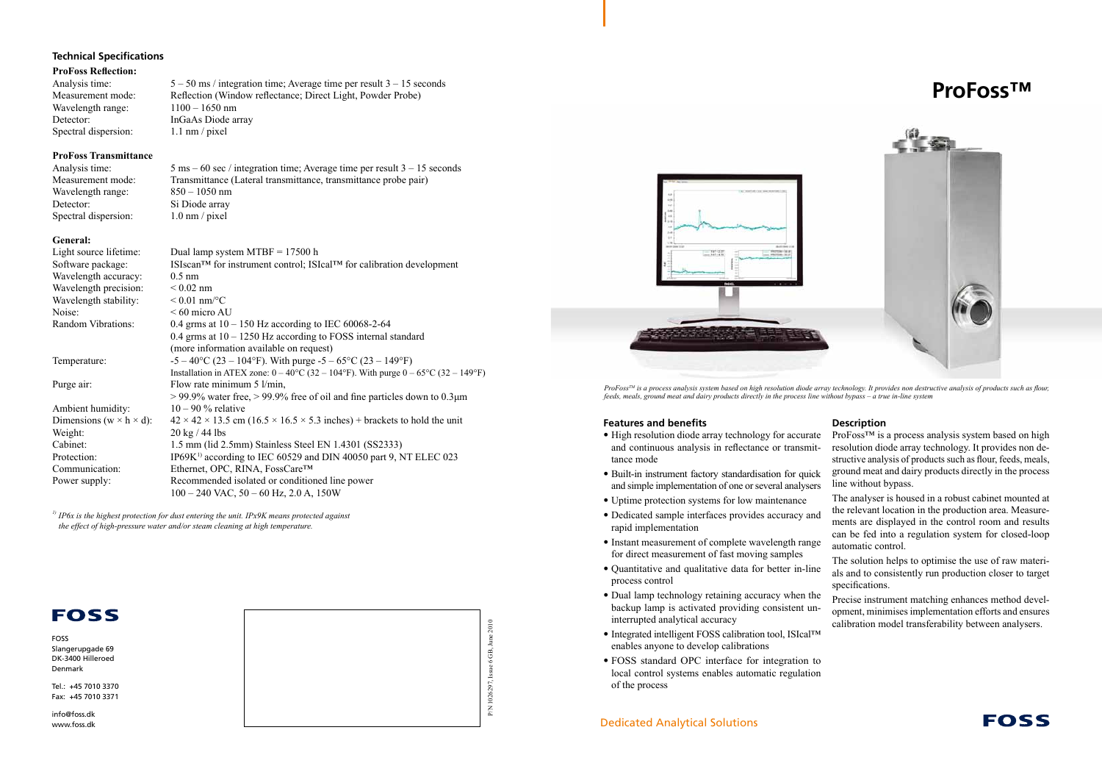# Dedicated Analytical Solutions





FOSS Slangerupgade 69 DK-3400 Hilleroed Denmark

Tel.: +45 7010 3370 Fax: +45 7010 3371

info@foss.dk www.foss.dk





#### **Features and benefits**

- High resolution diode array technology for accurate and continuous analysis in reflectance or transmittance mode
- Built-in instrument factory standardisation for quick and simple implementation of one or several analysers
- Uptime protection systems for low maintenance
- Dedicated sample interfaces provides accuracy and rapid implementation
- Instant measurement of complete wavelength range for direct measurement of fast moving samples
- Quantitative and qualitative data for better in-line process control
- Dual lamp technology retaining accuracy when the backup lamp is activated providing consistent uninterrupted analytical accuracy
- Integrated intelligent FOSS calibration tool, ISIcal™ enables anyone to develop calibrations
- FOSS standard OPC interface for integration to local control systems enables automatic regulation of the process

ProFoss™ is a process analysis system based on high resolution diode array technology. It provides non destructive analysis of products such as flour, feeds, meals, ground meat and dairy products directly in the process line without bypass.

# **Description**

Analysis time:  $5 \text{ ms} - 60 \text{ sec}$  / integration time; Average time per result  $3 - 15$  seconds Measurement mode: Transmittance (Lateral transmittance, transmittance probe pair)

Wavelength range: 850 – 1050 nm Detector: Si Diode array Spectral dispersion: 1.0 nm / pixel

> The analyser is housed in a robust cabinet mounted at the relevant location in the production area. Measurements are displayed in the control room and results can be fed into a regulation system for closed-loop automatic control.

> The solution helps to optimise the use of raw materials and to consistently run production closer to target specifications.

> Precise instrument matching enhances method development, minimises implementation efforts and ensures calibration model transferability between analysers.



*ProFossTM is a process analysis system based on high resolution diode array technology. It provides non destructive analysis of products such as flour, feeds, meals, ground meat and dairy products directly in the process line without bypass – a true in-line system*

# **Technical Specifications**

#### **ProFoss Reflection:**

Analysis time:  $5 - 50$  ms / integration time; Average time per result  $3 - 15$  seconds Measurement mode: Reflection (Window reflectance; Direct Light, Powder Probe) Wavelength range:  $1100 - 1650$  nm Detector: InGaAs Diode array Spectral dispersion: 1.1 nm / pixel

## **ProFoss Transmittance**

## **General:**

| Light source lifetime:                | Dual lamp system $MTBF = 17500$ h                                                                                 |
|---------------------------------------|-------------------------------------------------------------------------------------------------------------------|
| Software package:                     | ISIscan <sup>TM</sup> for instrument control; ISIcal <sup>TM</sup> for calibration development                    |
| Wavelength accuracy:                  | $0.5$ nm                                                                                                          |
| Wavelength precision:                 | $< 0.02$ nm                                                                                                       |
| Wavelength stability:                 | $< 0.01$ nm/°C                                                                                                    |
| Noise:                                | $< 60$ micro AU                                                                                                   |
| <b>Random Vibrations:</b>             | 0.4 grms at $10 - 150$ Hz according to IEC 60068-2-64                                                             |
|                                       | 0.4 grms at $10 - 1250$ Hz according to FOSS internal standard                                                    |
|                                       | (more information available on request)                                                                           |
| Temperature:                          | $-5 - 40^{\circ}$ C (23 – 104°F). With purge $-5 - 65^{\circ}$ C (23 – 149°F)                                     |
|                                       | Installation in ATEX zone: $0 - 40^{\circ}C(32 - 104^{\circ}F)$ . With purge $0 - 65^{\circ}C(32 - 149^{\circ}F)$ |
| Purge air:                            | Flow rate minimum $5 \frac{\text{l}}{\text{min}}$ ,                                                               |
|                                       | $>$ 99.9% water free, $>$ 99.9% free of oil and fine particles down to 0.3 $\mu$ m                                |
| Ambient humidity:                     | $10 - 90$ % relative                                                                                              |
| Dimensions ( $w \times h \times d$ ): | $42 \times 42 \times 13.5$ cm (16.5 $\times$ 16.5 $\times$ 5.3 inches) + brackets to hold the unit                |
| Weight:                               | $20 \text{ kg}$ / 44 lbs                                                                                          |
| Cabinet:                              | 1.5 mm (lid 2.5 mm) Stainless Steel EN 1.4301 (SS2333)                                                            |
| Protection:                           | IP69K <sup>1)</sup> according to IEC 60529 and DIN 40050 part 9, NT ELEC 023                                      |
| Communication:                        | Ethernet, OPC, RINA, FossCare™                                                                                    |
| Power supply:                         | Recommended isolated or conditioned line power                                                                    |
|                                       | $100 - 240$ VAC, $50 - 60$ Hz, $2.0$ A, $150W$                                                                    |

*1) IP6x is the highest protection for dust entering the unit. IPx9K means protected against the effect of high-pressure water and/or steam cleaning at high temperature.*

# **FOSS**